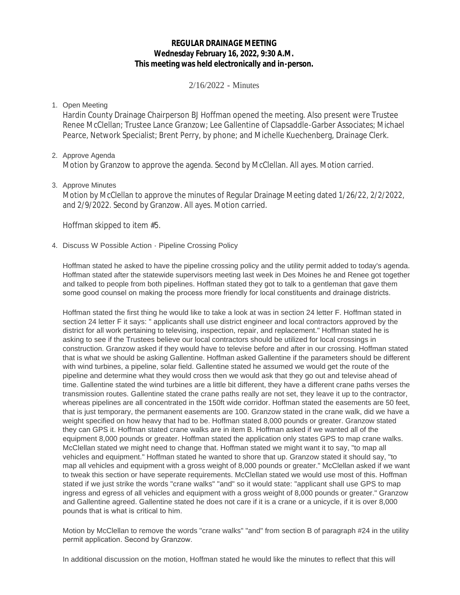# **REGULAR DRAINAGE MEETING Wednesday February 16, 2022, 9:30 A.M. This meeting was held electronically and in-person.**

2/16/2022 - Minutes

## 1. Open Meeting

Hardin County Drainage Chairperson BJ Hoffman opened the meeting. Also present were Trustee Renee McClellan; Trustee Lance Granzow; Lee Gallentine of Clapsaddle-Garber Associates; Michael Pearce, Network Specialist; Brent Perry, by phone; and Michelle Kuechenberg, Drainage Clerk.

## 2. Approve Agenda

Motion by Granzow to approve the agenda. Second by McClellan. All ayes. Motion carried.

## 3. Approve Minutes

Motion by McClellan to approve the minutes of Regular Drainage Meeting dated 1/26/22, 2/2/2022, and 2/9/2022. Second by Granzow. All ayes. Motion carried.

Hoffman skipped to item #5.

## 4. Discuss W Possible Action - Pipeline Crossing Policy

Hoffman stated he asked to have the pipeline crossing policy and the utility permit added to today's agenda. Hoffman stated after the statewide supervisors meeting last week in Des Moines he and Renee got together and talked to people from both pipelines. Hoffman stated they got to talk to a gentleman that gave them some good counsel on making the process more friendly for local constituents and drainage districts.

Hoffman stated the first thing he would like to take a look at was in section 24 letter F. Hoffman stated in section 24 letter F it says: " applicants shall use district engineer and local contractors approved by the district for all work pertaining to televising, inspection, repair, and replacement." Hoffman stated he is asking to see if the Trustees believe our local contractors should be utilized for local crossings in construction. Granzow asked if they would have to televise before and after in our crossing. Hoffman stated that is what we should be asking Gallentine. Hoffman asked Gallentine if the parameters should be different with wind turbines, a pipeline, solar field. Gallentine stated he assumed we would get the route of the pipeline and determine what they would cross then we would ask that they go out and televise ahead of time. Gallentine stated the wind turbines are a little bit different, they have a different crane paths verses the transmission routes. Gallentine stated the crane paths really are not set, they leave it up to the contractor, whereas pipelines are all concentrated in the 150ft wide corridor. Hoffman stated the easements are 50 feet, that is just temporary, the permanent easements are 100. Granzow stated in the crane walk, did we have a weight specified on how heavy that had to be. Hoffman stated 8,000 pounds or greater. Granzow stated they can GPS it. Hoffman stated crane walks are in item B. Hoffman asked if we wanted all of the equipment 8,000 pounds or greater. Hoffman stated the application only states GPS to map crane walks. McClellan stated we might need to change that. Hoffman stated we might want it to say, "to map all vehicles and equipment." Hoffman stated he wanted to shore that up. Granzow stated it should say, "to map all vehicles and equipment with a gross weight of 8,000 pounds or greater." McClellan asked if we want to tweak this section or have seperate requirements. McClellan stated we would use most of this. Hoffman stated if we just strike the words "crane walks" "and" so it would state: "applicant shall use GPS to map ingress and egress of all vehicles and equipment with a gross weight of 8,000 pounds or greater." Granzow and Gallentine agreed. Gallentine stated he does not care if it is a crane or a unicycle, if it is over 8,000 pounds that is what is critical to him.

Motion by McClellan to remove the words "crane walks" "and" from section B of paragraph #24 in the utility permit application. Second by Granzow.

In additional discussion on the motion, Hoffman stated he would like the minutes to reflect that this will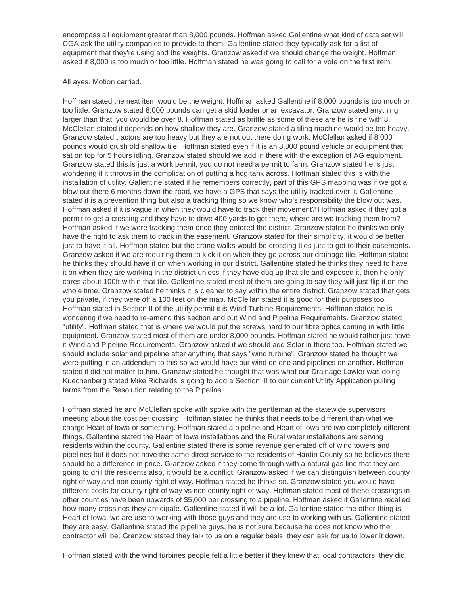encompass all equipment greater than 8,000 pounds. Hoffman asked Gallentine what kind of data set will CGA ask the utility companies to provide to them. Gallentine stated they typically ask for a list of equipment that they're using and the weights. Granzow asked if we should change the weight. Hoffman asked if 8,000 is too much or too little. Hoffman stated he was going to call for a vote on the first item.

### All ayes. Motion carried.

Hoffman stated the next item would be the weight. Hoffman asked Gallentine if 8,000 pounds is too much or too little. Granzow stated 8,000 pounds can get a skid loader or an excavator. Granzow stated anything larger than that, you would be over 8. Hoffman stated as brittle as some of these are he is fine with 8. McClellan stated it depends on how shallow they are. Granzow stated a tiling machine would be too heavy. Granzow stated tractors are too heavy but they are not out there doing work. McClellan asked if 8,000 pounds would crush old shallow tile. Hoffman stated even if it is an 8,000 pound vehicle or equipment that sat on top for 5 hours idling. Granzow stated should we add in there with the exception of AG equipment. Granzow stated this is just a work permit, you do not need a permit to farm. Granzow stated he is just wondering if it throws in the complication of putting a hog tank across. Hoffman stated this is with the installation of utility. Gallentine stated if he remembers correctly, part of this GPS mapping was if we got a blow out there 6 months down the road, we have a GPS that says the utility tracked over it. Gallentine stated it is a prevention thing but also a tracking thing so we know who's responsibility the blow out was. Hoffman asked if it is vague in when they would have to track their movement? Hoffman asked if they got a permit to get a crossing and they have to drive 400 yards to get there, where are we tracking them from? Hoffman asked if we were tracking them once they entered the district. Granzow stated he thinks we only have the right to ask them to track in the easement. Granzow stated for their simplicity, it would be better just to have it all. Hoffman stated but the crane walks would be crossing tiles just to get to their easements. Granzow asked if we are requiring them to kick it on when they go across our drainage tile. Hoffman stated he thinks they should have it on when working in our district. Gallentine stated he thinks they need to have it on when they are working in the district unless if they have dug up that tile and exposed it, then he only cares about 100ft within that tile. Gallentine stated most of them are going to say they will just flip it on the whole time. Granzow stated he thinks it is cleaner to say within the entire district. Granzow stated that gets you private, if they were off a 100 feet on the map. McClellan stated it is good for their purposes too. Hoffman stated in Section II of the utility permit it is Wind Turbine Requirements. Hoffman stated he is wondering if we need to re-amend this section and put Wind and Pipeline Requirements. Granzow stated "utility". Hoffman stated that is where we would put the screws hard to our fibre optics coming in with little equipment. Granzow stated most of them are under 8,000 pounds. Hoffman stated he would rather just have it Wind and Pipeline Requirements. Granzow asked if we should add Solar in there too. Hoffman stated we should include solar and pipeline after anything that says "wind turbine". Granzow stated he thought we were putting in an addendum to this so we would have our wind on one and pipelines on another. Hoffman stated it did not matter to him. Granzow stated he thought that was what our Drainage Lawler was doing. Kuechenberg stated Mike Richards is going to add a Section III to our current Utility Application pulling terms from the Resolution relating to the Pipeline.

Hoffman stated he and McClellan spoke with spoke with the gentleman at the statewide supervisors meeting about the cost per crossing. Hoffman stated he thinks that needs to be different than what we charge Heart of Iowa or something. Hoffman stated a pipeline and Heart of Iowa are two completely different things. Gallentine stated the Heart of Iowa installations and the Rural water installations are serving residents within the county. Gallentine stated there is some revenue generated off of wind towers and pipelines but it does not have the same direct service to the residents of Hardin County so he believes there should be a difference in price. Granzow asked if they come through with a natural gas line that they are going to drill the residents also, it would be a conflict. Granzow asked if we can distinguish between county right of way and non county right of way. Hoffman stated he thinks so. Granzow stated you would have different costs for county right of way vs non county right of way. Hoffman stated most of these crossings in other counties have been upwards of \$5,000 per crossing to a pipeline. Hoffman asked if Gallentine recalled how many crossings they anticipate. Gallentine stated it will be a lot. Gallentine stated the other thing is, Heart of Iowa, we are use to working with those guys and they are use to working with us. Gallentine stated they are easy. Gallentine stated the pipeline guys, he is not sure because he does not know who the contractor will be. Granzow stated they talk to us on a regular basis, they can ask for us to lower it down.

Hoffman stated with the wind turbines people felt a little better if they knew that local contractors, they did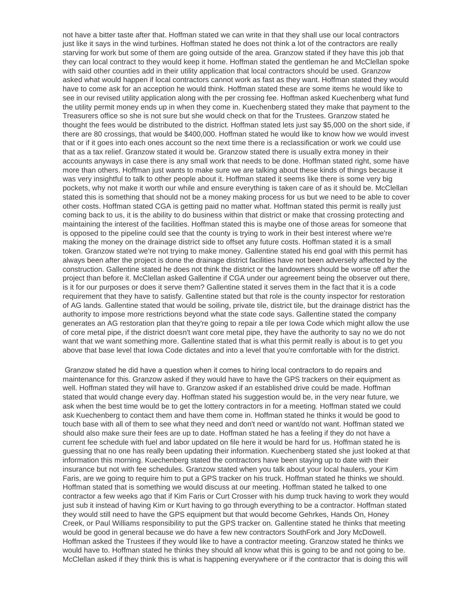not have a bitter taste after that. Hoffman stated we can write in that they shall use our local contractors just like it says in the wind turbines. Hoffman stated he does not think a lot of the contractors are really starving for work but some of them are going outside of the area. Granzow stated if they have this job that they can local contract to they would keep it home. Hoffman stated the gentleman he and McClellan spoke with said other counties add in their utility application that local contractors should be used. Granzow asked what would happen if local contractors cannot work as fast as they want. Hoffman stated they would have to come ask for an acception he would think. Hoffman stated these are some items he would like to see in our revised utility application along with the per crossing fee. Hoffman asked Kuechenberg what fund the utility permit money ends up in when they come in. Kuechenberg stated they make that payment to the Treasurers office so she is not sure but she would check on that for the Trustees. Granzow stated he thought the fees would be distributed to the district. Hoffman stated lets just say \$5,000 on the short side, if there are 80 crossings, that would be \$400,000. Hoffman stated he would like to know how we would invest that or if it goes into each ones account so the next time there is a reclassification or work we could use that as a tax relief. Granzow stated it would be. Granzow stated there is usually extra money in their accounts anyways in case there is any small work that needs to be done. Hoffman stated right, some have more than others. Hoffman just wants to make sure we are talking about these kinds of things because it was very insightful to talk to other people about it. Hoffman stated it seems like there is some very big pockets, why not make it worth our while and ensure everything is taken care of as it should be. McClellan stated this is something that should not be a money making process for us but we need to be able to cover other costs. Hoffman stated CGA is getting paid no matter what. Hoffman stated this permit is really just coming back to us, it is the ability to do business within that district or make that crossing protecting and maintaining the interest of the facilities. Hoffman stated this is maybe one of those areas for someone that is opposed to the pipeline could see that the county is trying to work in their best interest where we're making the money on the drainage district side to offset any future costs. Hoffman stated it is a small token. Granzow stated we're not trying to make money. Gallentine stated his end goal with this permit has always been after the project is done the drainage district facilities have not been adversely affected by the construction. Gallentine stated he does not think the district or the landowners should be worse off after the project than before it. McClellan asked Gallentine if CGA under our agreement being the observer out there, is it for our purposes or does it serve them? Gallentine stated it serves them in the fact that it is a code requirement that they have to satisfy. Gallentine stated but that role is the county inspector for restoration of AG lands. Gallentine stated that would be soiling, private tile, district tile, but the drainage district has the authority to impose more restrictions beyond what the state code says. Gallentine stated the company generates an AG restoration plan that they're going to repair a tile per Iowa Code which might allow the use of core metal pipe, if the district doesn't want core metal pipe, they have the authority to say no we do not want that we want something more. Gallentine stated that is what this permit really is about is to get you above that base level that Iowa Code dictates and into a level that you're comfortable with for the district.

 Granzow stated he did have a question when it comes to hiring local contractors to do repairs and maintenance for this. Granzow asked if they would have to have the GPS trackers on their equipment as well. Hoffman stated they will have to. Granzow asked if an established drive could be made. Hoffman stated that would change every day. Hoffman stated his suggestion would be, in the very near future, we ask when the best time would be to get the lottery contractors in for a meeting. Hoffman stated we could ask Kuechenberg to contact them and have them come in. Hoffman stated he thinks it would be good to touch base with all of them to see what they need and don't need or want/do not want. Hoffman stated we should also make sure their fees are up to date. Hoffman stated he has a feeling if they do not have a current fee schedule with fuel and labor updated on file here it would be hard for us. Hoffman stated he is guessing that no one has really been updating their information. Kuechenberg stated she just looked at that information this morning. Kuechenberg stated the contractors have been staying up to date with their insurance but not with fee schedules. Granzow stated when you talk about your local haulers, your Kim Faris, are we going to require him to put a GPS tracker on his truck. Hoffman stated he thinks we should. Hoffman stated that is something we would discuss at our meeting. Hoffman stated he talked to one contractor a few weeks ago that if Kim Faris or Curt Crosser with his dump truck having to work they would just sub it instead of having Kim or Kurt having to go through everything to be a contractor. Hoffman stated they would still need to have the GPS equipment but that would become Gehrkes, Hands On, Honey Creek, or Paul Williams responsibility to put the GPS tracker on. Gallentine stated he thinks that meeting would be good in general because we do have a few new contractors SouthFork and Jory McDowell. Hoffman asked the Trustees if they would like to have a contractor meeting. Granzow stated he thinks we would have to. Hoffman stated he thinks they should all know what this is going to be and not going to be. McClellan asked if they think this is what is happening everywhere or if the contractor that is doing this will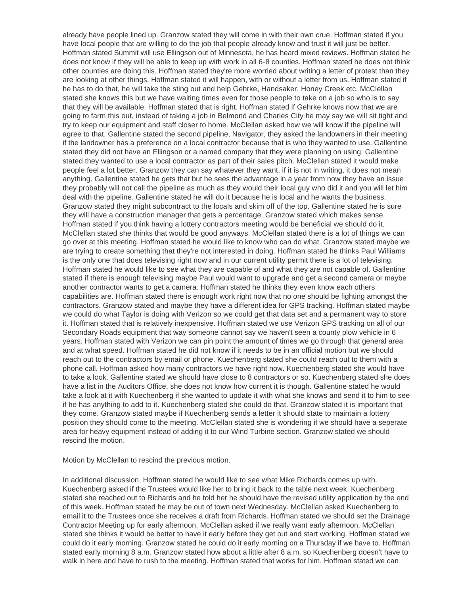already have people lined up. Granzow stated they will come in with their own crue. Hoffman stated if you have local people that are willing to do the job that people already know and trust it will just be better. Hoffman stated Summit will use Ellingson out of Minnesota, he has heard mixed reviews. Hoffman stated he does not know if they will be able to keep up with work in all 6-8 counties. Hoffman stated he does not think other counties are doing this. Hoffman stated they're more worried about writing a letter of protest than they are looking at other things. Hoffman stated it will happen, with or without a letter from us. Hoffman stated if he has to do that, he will take the sting out and help Gehrke, Handsaker, Honey Creek etc. McClellan stated she knows this but we have waiting times even for those people to take on a job so who is to say that they will be available. Hoffman stated that is right. Hoffman stated if Gehrke knows now that we are going to farm this out, instead of taking a job in Belmond and Charles City he may say we will sit tight and try to keep our equipment and staff closer to home. McClellan asked how we will know if the pipeline will agree to that. Gallentine stated the second pipeline, Navigator, they asked the landowners in their meeting if the landowner has a preference on a local contractor because that is who they wanted to use. Gallentine stated they did not have an Ellingson or a named company that they were planning on using. Gallentine stated they wanted to use a local contractor as part of their sales pitch. McClellan stated it would make people feel a lot better. Granzow they can say whatever they want, if it is not in writing, it does not mean anything. Gallentine stated he gets that but he sees the advantage in a year from now they have an issue they probably will not call the pipeline as much as they would their local guy who did it and you will let him deal with the pipeline. Gallentine stated he will do it because he is local and he wants the business. Granzow stated they might subcontract to the locals and skim off of the top. Gallentine stated he is sure they will have a construction manager that gets a percentage. Granzow stated which makes sense. Hoffman stated if you think having a lottery contractors meeting would be beneficial we should do it. McClellan stated she thinks that would be good anyways. McClellan stated there is a lot of things we can go over at this meeting. Hoffman stated he would like to know who can do what. Granzow stated maybe we are trying to create something that they're not interested in doing. Hoffman stated he thinks Paul Williams is the only one that does televising right now and in our current utility permit there is a lot of televising. Hoffman stated he would like to see what they are capable of and what they are not capable of. Gallentine stated if there is enough televising maybe Paul would want to upgrade and get a second camera or maybe another contractor wants to get a camera. Hoffman stated he thinks they even know each others capabilities are. Hoffman stated there is enough work right now that no one should be fighting amongst the contractors. Granzow stated and maybe they have a different idea for GPS tracking. Hoffman stated maybe we could do what Taylor is doing with Verizon so we could get that data set and a permanent way to store it. Hoffman stated that is relatively inexpensive. Hoffman stated we use Verizon GPS tracking on all of our Secondary Roads equipment that way someone cannot say we haven't seen a county plow vehicle in 6 years. Hoffman stated with Verizon we can pin point the amount of times we go through that general area and at what speed. Hoffman stated he did not know if it needs to be in an official motion but we should reach out to the contractors by email or phone. Kuechenberg stated she could reach out to them with a phone call. Hoffman asked how many contractors we have right now. Kuechenberg stated she would have to take a look. Gallentine stated we should have close to 8 contractors or so. Kuechenberg stated she does have a list in the Auditors Office, she does not know how current it is though. Gallentine stated he would take a look at it with Kuechenberg if she wanted to update it with what she knows and send it to him to see if he has anything to add to it. Kuechenberg stated she could do that. Granzow stated it is important that they come. Granzow stated maybe if Kuechenberg sends a letter it should state to maintain a lottery position they should come to the meeting. McClellan stated she is wondering if we should have a seperate area for heavy equipment instead of adding it to our Wind Turbine section. Granzow stated we should rescind the motion.

Motion by McClellan to rescind the previous motion.

In additional discussion, Hoffman stated he would like to see what Mike Richards comes up with. Kuechenberg asked if the Trustees would like her to bring it back to the table next week. Kuechenberg stated she reached out to Richards and he told her he should have the revised utility application by the end of this week. Hoffman stated he may be out of town next Wednesday. McClellan asked Kuechenberg to email it to the Trustees once she receives a draft from Richards. Hoffman stated we should set the Drainage Contractor Meeting up for early afternoon. McClellan asked if we really want early afternoon. McClellan stated she thinks it would be better to have it early before they get out and start working. Hoffman stated we could do it early morning. Granzow stated he could do it early morning on a Thursday if we have to. Hoffman stated early morning 8 a.m. Granzow stated how about a little after 8 a.m. so Kuechenberg doesn't have to walk in here and have to rush to the meeting. Hoffman stated that works for him. Hoffman stated we can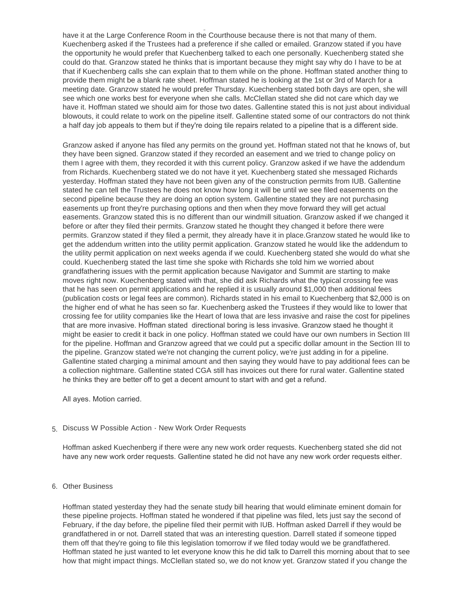have it at the Large Conference Room in the Courthouse because there is not that many of them. Kuechenberg asked if the Trustees had a preference if she called or emailed. Granzow stated if you have the opportunity he would prefer that Kuechenberg talked to each one personally. Kuechenberg stated she could do that. Granzow stated he thinks that is important because they might say why do I have to be at that if Kuechenberg calls she can explain that to them while on the phone. Hoffman stated another thing to provide them might be a blank rate sheet. Hoffman stated he is looking at the 1st or 3rd of March for a meeting date. Granzow stated he would prefer Thursday. Kuechenberg stated both days are open, she will see which one works best for everyone when she calls. McClellan stated she did not care which day we have it. Hoffman stated we should aim for those two dates. Gallentine stated this is not just about individual blowouts, it could relate to work on the pipeline itself. Gallentine stated some of our contractors do not think a half day job appeals to them but if they're doing tile repairs related to a pipeline that is a different side.

walk in here and have to the meeting. Hoffman stated that works for him. Hoffman stated we can

Granzow asked if anyone has filed any permits on the ground yet. Hoffman stated not that he knows of, but they have been signed. Granzow stated if they recorded an easement and we tried to change policy on them I agree with them, they recorded it with this current policy. Granzow asked if we have the addendum from Richards. Kuechenberg stated we do not have it yet. Kuechenberg stated she messaged Richards yesterday. Hoffman stated they have not been given any of the construction permits from IUB. Gallentine stated he can tell the Trustees he does not know how long it will be until we see filed easements on the second pipeline because they are doing an option system. Gallentine stated they are not purchasing easements up front they're purchasing options and then when they move forward they will get actual easements. Granzow stated this is no different than our windmill situation. Granzow asked if we changed it before or after they filed their permits. Granzow stated he thought they changed it before there were permits. Granzow stated if they filed a permit, they already have it in place.Granzow stated he would like to get the addendum written into the utility permit application. Granzow stated he would like the addendum to the utility permit application on next weeks agenda if we could. Kuechenberg stated she would do what she could. Kuechenberg stated the last time she spoke with Richards she told him we worried about grandfathering issues with the permit application because Navigator and Summit are starting to make moves right now. Kuechenberg stated with that, she did ask Richards what the typical crossing fee was that he has seen on permit applications and he replied it is usually around \$1,000 then additional fees (publication costs or legal fees are common). Richards stated in his email to Kuechenberg that \$2,000 is on the higher end of what he has seen so far. Kuechenberg asked the Trustees if they would like to lower that crossing fee for utility companies like the Heart of Iowa that are less invasive and raise the cost for pipelines that are more invasive. Hoffman stated directional boring is less invasive. Granzow staed he thought it might be easier to credit it back in one policy. Hoffman stated we could have our own numbers in Section III for the pipeline. Hoffman and Granzow agreed that we could put a specific dollar amount in the Section III to the pipeline. Granzow stated we're not changing the current policy, we're just adding in for a pipeline. Gallentine stated charging a minimal amount and then saying they would have to pay additional fees can be a collection nightmare. Gallentine stated CGA still has invoices out there for rural water. Gallentine stated he thinks they are better off to get a decent amount to start with and get a refund.

All ayes. Motion carried.

## 5. Discuss W Possible Action - New Work Order Requests

Hoffman asked Kuechenberg if there were any new work order requests. Kuechenberg stated she did not have any new work order requests. Gallentine stated he did not have any new work order requests either.

### 6. Other Business

Hoffman stated yesterday they had the senate study bill hearing that would eliminate eminent domain for these pipeline projects. Hoffman stated he wondered if that pipeline was filed, lets just say the second of February, if the day before, the pipeline filed their permit with IUB. Hoffman asked Darrell if they would be grandfathered in or not. Darrell stated that was an interesting question. Darrell stated if someone tipped them off that they're going to file this legislation tomorrow if we filed today would we be grandfathered. Hoffman stated he just wanted to let everyone know this he did talk to Darrell this morning about that to see how that might impact things. McClellan stated so, we do not know yet. Granzow stated if you change the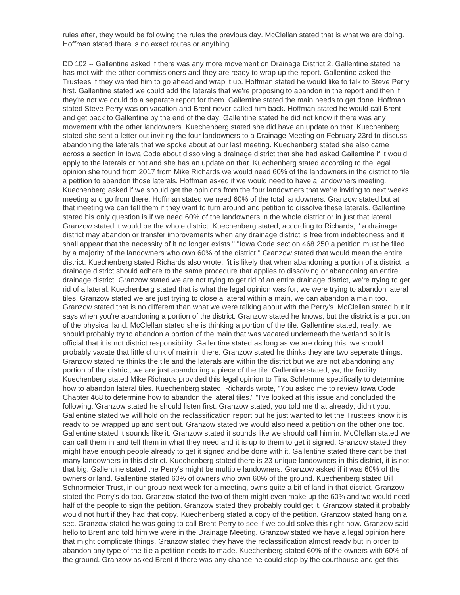how that might impact things. McClellan stated so, we do not know yet. Granzow stated if you change the rules after, they would be following the rules the previous day. McClellan stated that is what we are doing. Hoffman stated there is no exact routes or anything.

DD 102 -- Gallentine asked if there was any more movement on Drainage District 2. Gallentine stated he has met with the other commissioners and they are ready to wrap up the report. Gallentine asked the Trustees if they wanted him to go ahead and wrap it up. Hoffman stated he would like to talk to Steve Perry first. Gallentine stated we could add the laterals that we're proposing to abandon in the report and then if they're not we could do a separate report for them. Gallentine stated the main needs to get done. Hoffman stated Steve Perry was on vacation and Brent never called him back. Hoffman stated he would call Brent and get back to Gallentine by the end of the day. Gallentine stated he did not know if there was any movement with the other landowners. Kuechenberg stated she did have an update on that. Kuechenberg stated she sent a letter out inviting the four landowners to a Drainage Meeting on February 23rd to discuss abandoning the laterals that we spoke about at our last meeting. Kuechenberg stated she also came across a section in Iowa Code about dissolving a drainage district that she had asked Gallentine if it would apply to the laterals or not and she has an update on that. Kuechenberg stated according to the legal opinion she found from 2017 from Mike Richards we would need 60% of the landowners in the district to file a petition to abandon those laterals. Hoffman asked if we would need to have a landowners meeting. Kuechenberg asked if we should get the opinions from the four landowners that we're inviting to next weeks meeting and go from there. Hoffman stated we need 60% of the total landowners. Granzow stated but at that meeting we can tell them if they want to turn around and petition to dissolve these laterals. Gallentine stated his only question is if we need 60% of the landowners in the whole district or in just that lateral. Granzow stated it would be the whole district. Kuechenberg stated, according to Richards, " a drainage district may abandon or transfer improvements when any drainage district is free from indebtedness and it shall appear that the necessity of it no longer exists." "Iowa Code section 468.250 a petition must be filed by a majority of the landowners who own 60% of the district." Granzow stated that would mean the entire district. Kuechenberg stated Richards also wrote, "it is likely that when abandoning a portion of a district, a drainage district should adhere to the same procedure that applies to dissolving or abandoning an entire drainage district. Granzow stated we are not trying to get rid of an entire drainage district, we're trying to get rid of a lateral. Kuechenberg stated that is what the legal opinion was for, we were trying to abandon lateral tiles. Granzow stated we are just trying to close a lateral within a main, we can abandon a main too. Granzow stated that is no different than what we were talking about with the Perry's. McClellan stated but it says when you're abandoning a portion of the district. Granzow stated he knows, but the district is a portion of the physical land. McClellan stated she is thinking a portion of the tile. Gallentine stated, really, we should probably try to abandon a portion of the main that was vacated underneath the wetland so it is official that it is not district responsibility. Gallentine stated as long as we are doing this, we should probably vacate that little chunk of main in there. Granzow stated he thinks they are two seperate things. Granzow stated he thinks the tile and the laterals are within the district but we are not abandoning any portion of the district, we are just abandoning a piece of the tile. Gallentine stated, ya, the facility. Kuechenberg stated Mike Richards provided this legal opinion to Tina Schlemme specifically to determine how to abandon lateral tiles. Kuechenberg stated, Richards wrote, "You asked me to review Iowa Code Chapter 468 to determine how to abandon the lateral tiles." "I've looked at this issue and concluded the following."Granzow stated he should listen first. Granzow stated, you told me that already, didn't you. Gallentine stated we will hold on the reclassification report but he just wanted to let the Trustees know it is ready to be wrapped up and sent out. Granzow stated we would also need a petition on the other one too. Gallentine stated it sounds like it. Granzow stated it sounds like we should call him in. McClellan stated we can call them in and tell them in what they need and it is up to them to get it signed. Granzow stated they might have enough people already to get it signed and be done with it. Gallentine stated there cant be that many landowners in this district. Kuechenberg stated there is 23 unique landowners in this district, it is not that big. Gallentine stated the Perry's might be multiple landowners. Granzow asked if it was 60% of the owners or land. Gallentine stated 60% of owners who own 60% of the ground. Kuechenberg stated Bill Schnormeier Trust, in our group next week for a meeting, owns quite a bit of land in that district. Granzow stated the Perry's do too. Granzow stated the two of them might even make up the 60% and we would need half of the people to sign the petition. Granzow stated they probably could get it. Granzow stated it probably would not hurt if they had that copy. Kuechenberg stated a copy of the petition. Granzow stated hang on a sec. Granzow stated he was going to call Brent Perry to see if we could solve this right now. Granzow said hello to Brent and told him we were in the Drainage Meeting. Granzow stated we have a legal opinion here that might complicate things. Granzow stated they have the reclassification almost ready but in order to abandon any type of the tile a petition needs to made. Kuechenberg stated 60% of the owners with 60% of the ground. Granzow asked Brent if there was any chance he could stop by the courthouse and get this